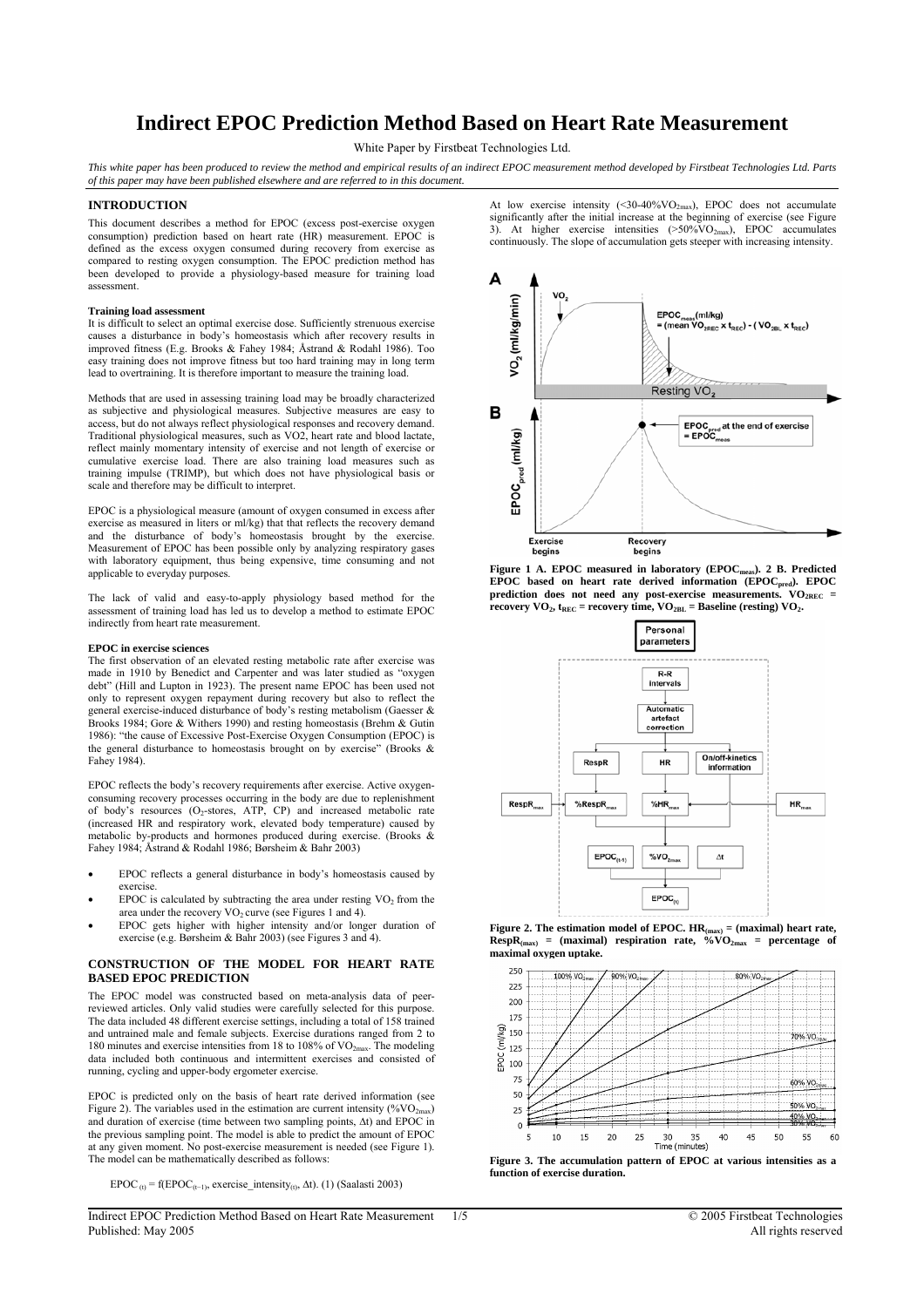# **Indirect EPOC Prediction Method Based on Heart Rate Measurement**

White Paper by Firstbeat Technologies Ltd.

*This white paper has been produced to review the method and empirical results of an indirect EPOC measurement method developed by Firstbeat Technologies Ltd. Parts of this paper may have been published elsewhere and are referred to in this document.* 

## **INTRODUCTION**

This document describes a method for EPOC (excess post-exercise oxygen consumption) prediction based on heart rate (HR) measurement. EPOC is defined as the excess oxygen consumed during recovery from exercise as compared to resting oxygen consumption. The EPOC prediction method has been developed to provide a physiology-based measure for training load assessment.

#### **Training load assessment**

It is difficult to select an optimal exercise dose. Sufficiently strenuous exercise causes a disturbance in body's homeostasis which after recovery results in improved fitness (E.g. Brooks & Fahey 1984; Åstrand & Rodahl 1986). Too easy training does not improve fitness but too hard training may in long term lead to overtraining. It is therefore important to measure the training load.

Methods that are used in assessing training load may be broadly characterized as subjective and physiological measures. Subjective measures are easy to access, but do not always reflect physiological responses and recovery demand. Traditional physiological measures, such as VO2, heart rate and blood lactate, reflect mainly momentary intensity of exercise and not length of exercise or cumulative exercise load. There are also training load measures such as training impulse (TRIMP), but which does not have physiological basis or scale and therefore may be difficult to interpret.

EPOC is a physiological measure (amount of oxygen consumed in excess after exercise as measured in liters or ml/kg) that that reflects the recovery demand and the disturbance of body's homeostasis brought by the exercise. Measurement of EPOC has been possible only by analyzing respiratory gases with laboratory equipment, thus being expensive, time consuming and not applicable to everyday purposes.

The lack of valid and easy-to-apply physiology based method for the assessment of training load has led us to develop a method to estimate EPOC indirectly from heart rate measurement.

#### **EPOC in exercise sciences**

The first observation of an elevated resting metabolic rate after exercise was made in 1910 by Benedict and Carpenter and was later studied as "oxygen debt" (Hill and Lupton in 1923). The present name EPOC has been used not only to represent oxygen repayment during recovery but also to reflect the general exercise-induced disturbance of body's resting metabolism (Gaesser & Brooks 1984; Gore & Withers 1990) and resting homeostasis (Brehm & Gutin 1986): "the cause of Excessive Post-Exercise Oxygen Consumption (EPOC) is the general disturbance to homeostasis brought on by exercise" (Brooks & Fahey 1984).

EPOC reflects the body's recovery requirements after exercise. Active oxygenconsuming recovery processes occurring in the body are due to replenishment of body's resources (O2-stores, ATP, CP) and increased metabolic rate (increased HR and respiratory work, elevated body temperature) caused by metabolic by-products and hormones produced during exercise. (Brooks & Fahey 1984; Åstrand & Rodahl 1986; Børsheim & Bahr 2003)

- EPOC reflects a general disturbance in body's homeostasis caused by exercise.
- EPOC is calculated by subtracting the area under resting  $VO<sub>2</sub>$  from the area under the recovery  $VO_2$  curve (see Figures 1 and 4).
- EPOC gets higher with higher intensity and/or longer duration of exercise (e.g. Børsheim & Bahr 2003) (see Figures 3 and 4).

## **CONSTRUCTION OF THE MODEL FOR HEART RATE BASED EPOC PREDICTION**

The EPOC model was constructed based on meta-analysis data of peerreviewed articles. Only valid studies were carefully selected for this purpose. The data included 48 different exercise settings, including a total of 158 trained and untrained male and female subjects. Exercise durations ranged from 2 to 180 minutes and exercise intensities from 18 to 108% of  $VO<sub>2max</sub>$ . The modeling data included both continuous and intermittent exercises and consisted of running, cycling and upper-body ergometer exercise.

EPOC is predicted only on the basis of heart rate derived information (see Figure 2). The variables used in the estimation are current intensity (% $VO<sub>2max</sub>$ ) and duration of exercise (time between two sampling points, ∆t) and EPOC in the previous sampling point. The model is able to predict the amount of EPOC at any given moment. No post-exercise measurement is needed (see Figure 1). The model can be mathematically described as follows:

EPOC  $_{(t)}$  = f(EPOC<sub>(t−1)</sub>, exercise intensity<sub>(t)</sub>,  $\Delta$ t). (1) (Saalasti 2003)

At low exercise intensity  $(\leq 30-40\% \text{VO}_{2\text{max}})$ , EPOC does not accumulate significantly after the initial increase at the beginning of exercise (see Figure 3). At higher exercise intensities (>50%VO2max), EPOC accumulates continuously. The slope of accumulation gets steeper with increasing intensity.



Figure 1 A. EPOC measured in laboratory (EPOC<sub>meas</sub>). 2 B. Predicted EPOC based on heart rate derived information (EPOC<sub>pred</sub>). EPOC prediction does not need any post-exercise measurements. VO<sub>2REC</sub> = **recovery VO<sub>2</sub>,**  $t_{REC}$  **= recovery time, VO<sub>2BL</sub> = Baseline (resting) VO<sub>2</sub>.** 



**Figure 2. The estimation model of EPOC.**  $HR_{\text{max}}$  **= (maximal) heart rate,**  $\text{RespR}_{\text{(max)}}$  = (maximal) respiration rate,  $\sqrt[6]{v}$ O<sub>2max</sub> = percentage of **maximal oxygen uptake.** 



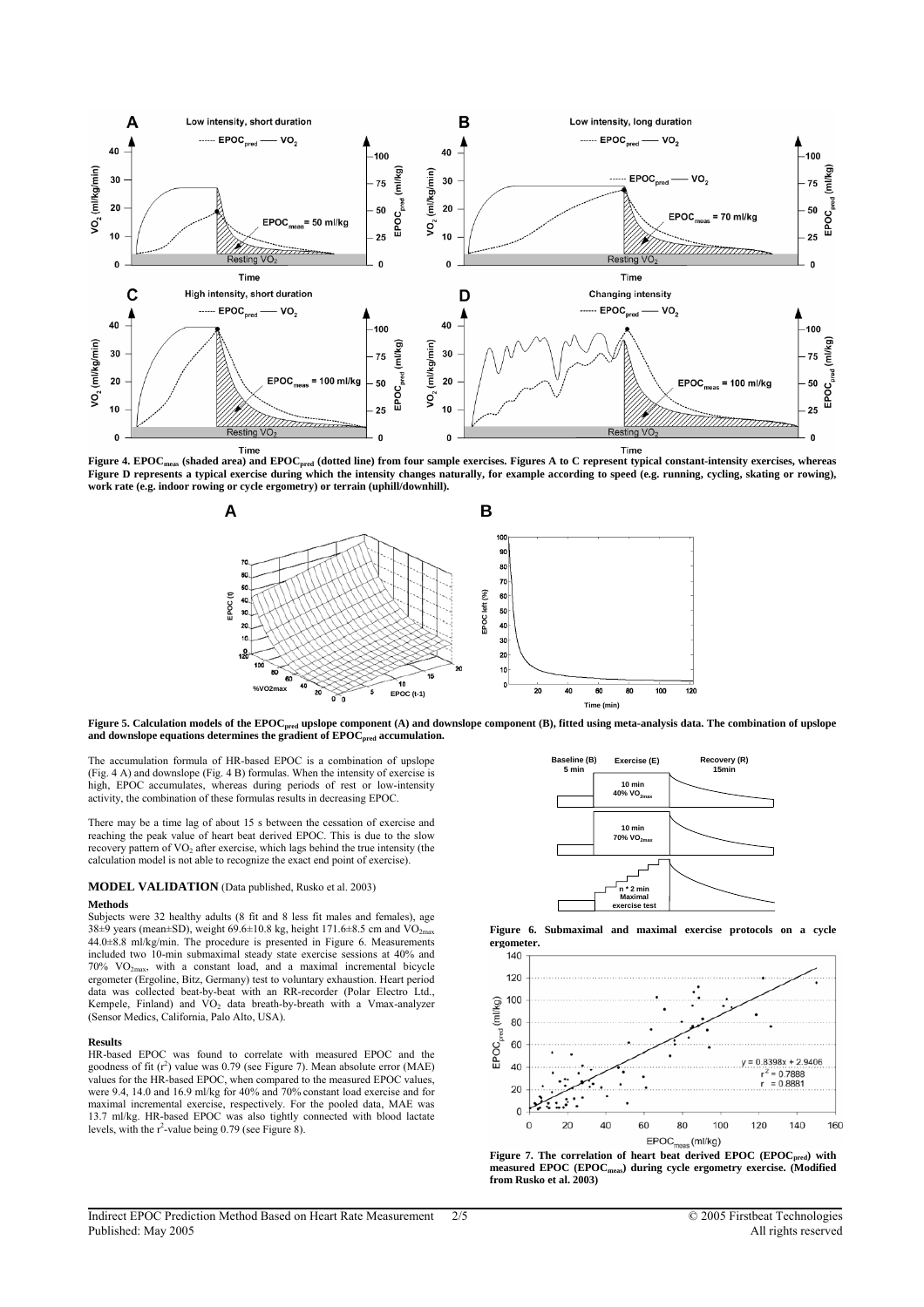

Figure 4. EPOC<sub>meas</sub> (shaded area) and EPOC<sub>pred</sub> (dotted line) from four sample exercises. Figures A to C represent typical constant-intensity exercises, whereas Figure D represents a typical exercise during which the intensity changes naturally, for example according to speed (e.g. running, cycling, skating or rowing), **work rate (e.g. indoor rowing or cycle ergometry) or terrain (uphill/downhill).** 



Figure 5. Calculation models of the EPOC<sub>pred</sub> upslope component (A) and downslope component (B), fitted using meta-analysis data. The combination of upslope and downslope equations determines the gradient of EPOC<sub>pred</sub> accumulation.

The accumulation formula of HR-based EPOC is a combination of upslope (Fig. 4 A) and downslope (Fig. 4 B) formulas. When the intensity of exercise is high, EPOC accumulates, whereas during periods of rest or low-intensity activity, the combination of these formulas results in decreasing EPOC.

There may be a time lag of about 15 s between the cessation of exercise and reaching the peak value of heart beat derived EPOC. This is due to the slow recovery pattern of VO<sub>2</sub> after exercise, which lags behind the true intensity (the calculation model is not able to recognize the exact end point of exercise).

#### **MODEL VALIDATION** (Data published, Rusko et al. 2003)

#### **Methods**

Subjects were 32 healthy adults (8 fit and 8 less fit males and females), age 38 $\pm$ 9 years (mean $\pm$ SD), weight 69.6 $\pm$ 10.8 kg, height 171.6 $\pm$ 8.5 cm and VO<sub>2max</sub> 44.0±8.8 ml/kg/min. The procedure is presented in Figure 6. Measurements included two 10-min submaximal steady state exercise sessions at 40% and 70% VO2max, with a constant load, and a maximal incremental bicycle ergometer (Ergoline, Bitz, Germany) test to voluntary exhaustion. Heart period data was collected beat-by-beat with an RR-recorder (Polar Electro Ltd., Kempele, Finland) and VO<sub>2</sub> data breath-by-breath with a Vmax-analyzer (Sensor Medics, California, Palo Alto, USA).

#### **Results**

HR-based EPOC was found to correlate with measured EPOC and the goodness of fit  $(r^2)$  value was 0.79 (see Figure 7). Mean absolute error (MAE) values for the HR-based EPOC, when compared to the measured EPOC values, were 9.4, 14.0 and 16.9 ml/kg for 40% and 70% constant load exercise and for maximal incremental exercise, respectively. For the pooled data, MAE was 13.7 ml/kg. HR-based EPOC was also tightly connected with blood lactate levels, with the r<sup>2</sup>-value being 0.79 (see Figure 8).







Figure 7. The correlation of heart beat derived EPOC (EPOC<sub>pred</sub>) with **measured EPOC (EPOCmeas) during cycle ergometry exercise. (Modified from Rusko et al. 2003)**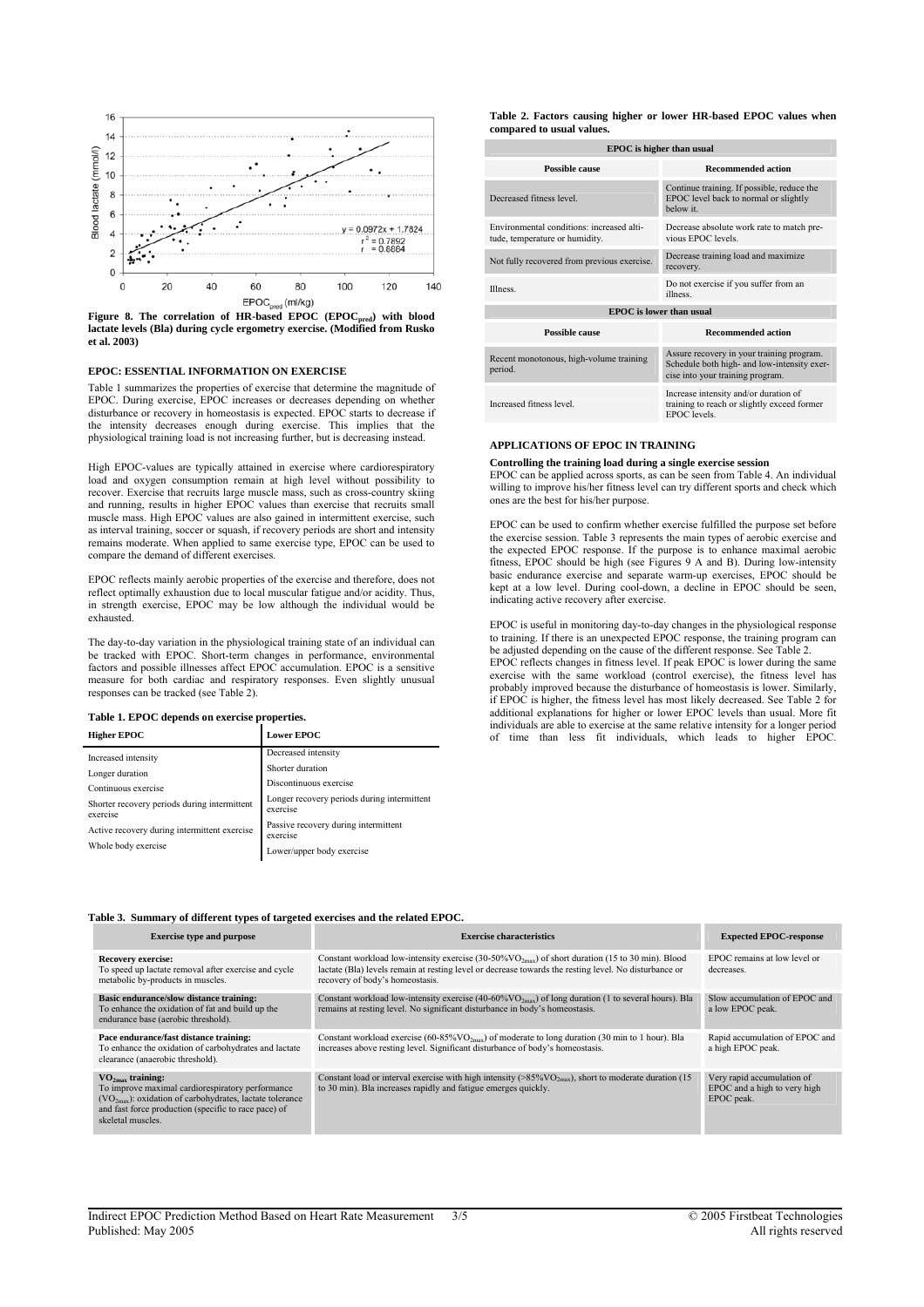

**lactate levels (Bla) during cycle ergometry exercise. (Modified from Rusko et al. 2003)** 

## **EPOC: ESSENTIAL INFORMATION ON EXERCISE**

Table 1 summarizes the properties of exercise that determine the magnitude of EPOC. During exercise, EPOC increases or decreases depending on whether disturbance or recovery in homeostasis is expected. EPOC starts to decrease if the intensity decreases enough during exercise. This implies that the physiological training load is not increasing further, but is decreasing instead.

High EPOC-values are typically attained in exercise where cardiorespiratory load and oxygen consumption remain at high level without possibility to recover. Exercise that recruits large muscle mass, such as cross-country skiing and running, results in higher EPOC values than exercise that recruits small muscle mass. High EPOC values are also gained in intermittent exercise, such as interval training, soccer or squash, if recovery periods are short and intensity remains moderate. When applied to same exercise type, EPOC can be used to compare the demand of different exercises.

EPOC reflects mainly aerobic properties of the exercise and therefore, does not reflect optimally exhaustion due to local muscular fatigue and/or acidity. Thus, in strength exercise, EPOC may be low although the individual would be exhausted.

The day-to-day variation in the physiological training state of an individual can be tracked with EPOC. Short-term changes in performance, environmental factors and possible illnesses affect EPOC accumulation. EPOC is a sensitive measure for both cardiac and respiratory responses. Even slightly unusual responses can be tracked (see Table 2).

## **Table 1. EPOC depends on exercise properties.**

| <b>Higher EPOC</b>                                       | <b>Lower EPOC</b>                                       |
|----------------------------------------------------------|---------------------------------------------------------|
| Increased intensity                                      | Decreased intensity                                     |
| Longer duration                                          | Shorter duration                                        |
| Continuous exercise                                      | Discontinuous exercise                                  |
| Shorter recovery periods during intermittent<br>exercise | Longer recovery periods during intermittent<br>exercise |
| Active recovery during intermittent exercise             | Passive recovery during intermittent<br>exercise        |
| Whole body exercise                                      | Lower/upper body exercise                               |

**Table 2. Factors causing higher or lower HR-based EPOC values when compared to usual values.**

| <b>EPOC</b> is higher than usual                                            |                                                                                                                              |  |  |  |
|-----------------------------------------------------------------------------|------------------------------------------------------------------------------------------------------------------------------|--|--|--|
| Possible cause                                                              | <b>Recommended action</b>                                                                                                    |  |  |  |
| Decreased fitness level                                                     | Continue training. If possible, reduce the<br>EPOC level back to normal or slightly<br>below it                              |  |  |  |
| Environmental conditions: increased alti-<br>tude, temperature or humidity. | Decrease absolute work rate to match pre-<br>vious EPOC levels                                                               |  |  |  |
| Not fully recovered from previous exercise.                                 | Decrease training load and maximize<br>recovery.                                                                             |  |  |  |
| <b>Illness</b>                                                              | Do not exercise if you suffer from an<br><i>illness</i>                                                                      |  |  |  |
| <b>EPOC</b> is lower than usual                                             |                                                                                                                              |  |  |  |
| Possible cause                                                              | <b>Recommended action</b>                                                                                                    |  |  |  |
| Recent monotonous, high-volume training<br>period.                          | Assure recovery in your training program.<br>Schedule both high- and low-intensity exer-<br>cise into your training program. |  |  |  |
| Increased fitness level.                                                    | Increase intensity and/or duration of<br>training to reach or slightly exceed former                                         |  |  |  |

#### **APPLICATIONS OF EPOC IN TRAINING**

#### **Controlling the training load during a single exercise session**

EPOC can be applied across sports, as can be seen from Table 4. An individual willing to improve his/her fitness level can try different sports and check which ones are the best for his/her purpose.

EPOC levels.

EPOC can be used to confirm whether exercise fulfilled the purpose set before the exercise session. Table 3 represents the main types of aerobic exercise and the expected EPOC response. If the purpose is to enhance maximal aerobic fitness, EPOC should be high (see Figures 9 A and B). During low-intensity basic endurance exercise and separate warm-up exercises, EPOC should be kept at a low level. During cool-down, a decline in EPOC should be seen, indicating active recovery after exercise.

EPOC is useful in monitoring day-to-day changes in the physiological response to training. If there is an unexpected EPOC response, the training program can be adjusted depending on the cause of the different response. See Table 2. EPOC reflects changes in fitness level. If peak EPOC is lower during the same exercise with the same workload (control exercise), the fitness level has probably improved because the disturbance of homeostasis is lower. Similarly, if EPOC is higher, the fitness level has most likely decreased. See Table 2 for additional explanations for higher or lower EPOC levels than usual. More fit individuals are able to exercise at the same relative intensity for a longer period

of time than less fit individuals, which leads to higher EPOC.

#### **Table 3. Summary of different types of targeted exercises and the related EPOC.**

| <b>Exercise type and purpose</b>                                                                                                                                                                                            | <b>Exercise characteristics</b>                                                                                                                                                                                                                           | <b>Expected EPOC-response</b>                                            |
|-----------------------------------------------------------------------------------------------------------------------------------------------------------------------------------------------------------------------------|-----------------------------------------------------------------------------------------------------------------------------------------------------------------------------------------------------------------------------------------------------------|--------------------------------------------------------------------------|
| <b>Recovery exercise:</b><br>To speed up lactate removal after exercise and cycle<br>metabolic by-products in muscles.                                                                                                      | Constant workload low-intensity exercise (30-50% VO <sub>2max</sub> ) of short duration (15 to 30 min). Blood<br>lactate (Bla) levels remain at resting level or decrease towards the resting level. No disturbance or<br>recovery of body's homeostasis. | EPOC remains at low level or<br>decreases.                               |
| Basic endurance/slow distance training:<br>To enhance the oxidation of fat and build up the<br>endurance base (aerobic threshold).                                                                                          | Constant workload low-intensity exercise (40-60% $VO2max$ ) of long duration (1 to several hours). Bla<br>remains at resting level. No significant disturbance in body's homeostasis.                                                                     | Slow accumulation of EPOC and<br>a low EPOC peak.                        |
| Pace endurance/fast distance training:<br>To enhance the oxidation of carbohydrates and lactate<br>clearance (anaerobic threshold).                                                                                         | Constant workload exercise $(60-85\%VO_{2max})$ of moderate to long duration (30 min to 1 hour). Bla<br>increases above resting level. Significant disturbance of body's homeostasis.                                                                     | Rapid accumulation of EPOC and<br>a high EPOC peak.                      |
| $VO_{2\text{max}}$ training:<br>To improve maximal cardiorespiratory performance<br>$(VO2max)$ : oxidation of carbohydrates, lactate tolerance<br>and fast force production (specific to race pace) of<br>skeletal muscles. | Constant load or interval exercise with high intensity ( $>85\%$ VO <sub>2max</sub> ), short to moderate duration (15)<br>to 30 min). Bla increases rapidly and fatigue emerges quickly.                                                                  | Very rapid accumulation of<br>EPOC and a high to very high<br>EPOC peak. |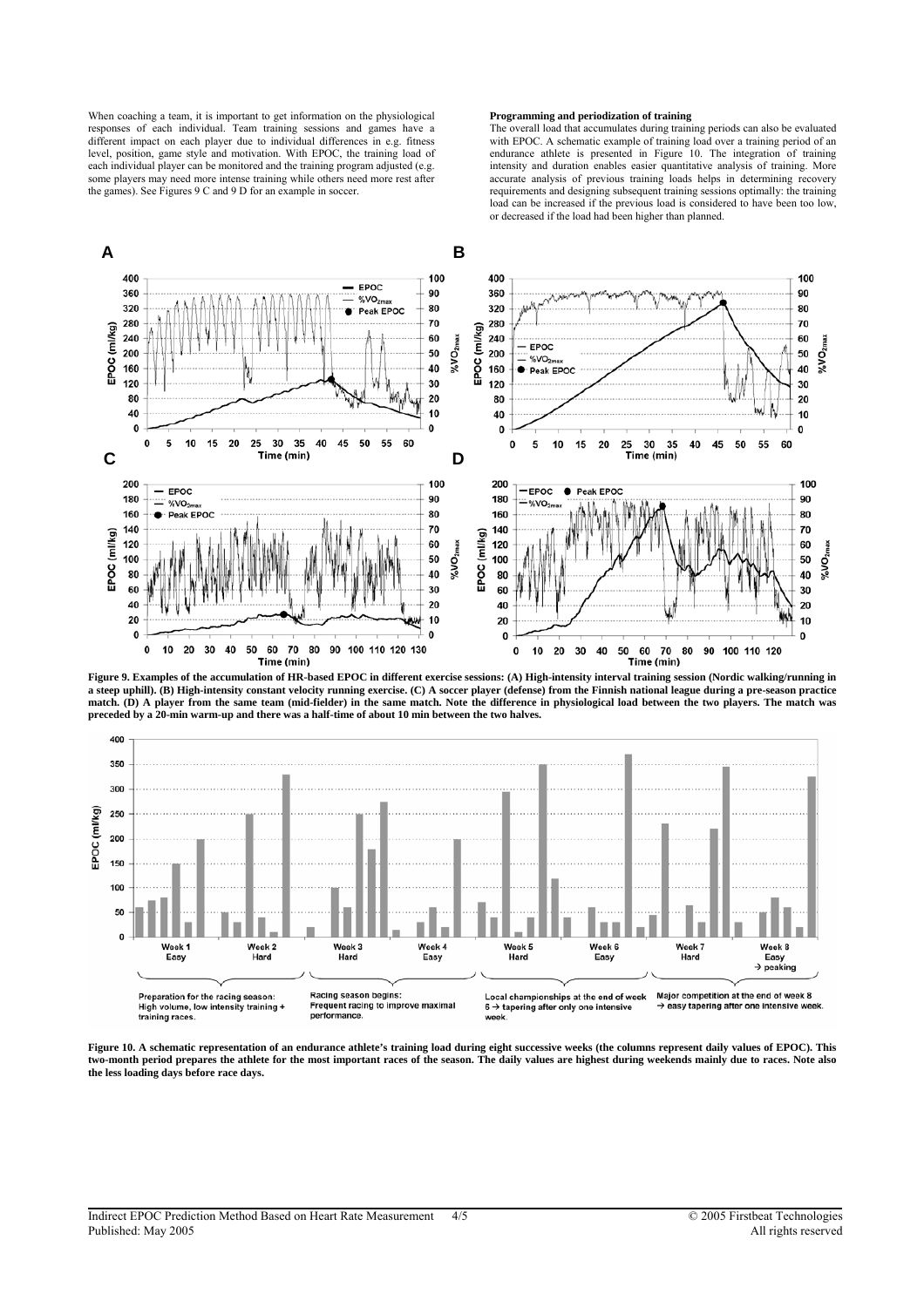When coaching a team, it is important to get information on the physiological responses of each individual. Team training sessions and games have a different impact on each player due to individual differences in e.g. fitness level, position, game style and motivation. With EPOC, the training load of each individual player can be monitored and the training program adjusted (e.g. some players may need more intense training while others need more rest after the games). See Figures 9 C and 9 D for an example in soccer.

### **Programming and periodization of training**

The overall load that accumulates during training periods can also be evaluated with EPOC. A schematic example of training load over a training period of an endurance athlete is presented in Figure 10. The integration of training intensity and duration enables easier quantitative analysis of training. More accurate analysis of previous training loads helps in determining recovery requirements and designing subsequent training sessions optimally: the training load can be increased if the previous load is considered to have been too low, or decreased if the load had been higher than planned.



**Figure 9. Examples of the accumulation of HR-based EPOC in different exercise sessions: (A) High-intensity interval training session (Nordic walking/running in a steep uphill). (B) High-intensity constant velocity running exercise. (C) A soccer player (defense) from the Finnish national league during a pre-season practice match. (D) A player from the same team (mid-fielder) in the same match. Note the difference in physiological load between the two players. The match was preceded by a 20-min warm-up and there was a half-time of about 10 min between the two halves.** 



Figure 10. A schematic representation of an endurance athlete's training load during eight successive weeks (the columns represent daily values of EPOC). This **two-month period prepares the athlete for the most important races of the season. The daily values are highest during weekends mainly due to races. Note also the less loading days before race days.**